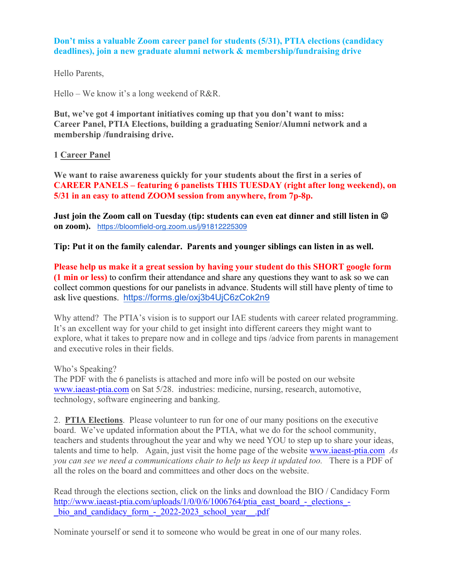**Don't miss a valuable Zoom career panel for students (5/31), PTIA elections (candidacy deadlines), join a new graduate alumni network & membership/fundraising drive** 

Hello Parents,

Hello – We know it's a long weekend of R&R.

**But, we've got 4 important initiatives coming up that you don't want to miss: Career Panel, PTIA Elections, building a graduating Senior/Alumni network and a membership /fundraising drive.** 

## **1 Career Panel**

**We want to raise awareness quickly for your students about the first in a series of CAREER PANELS – featuring 6 panelists THIS TUESDAY (right after long weekend), on 5/31 in an easy to attend ZOOM session from anywhere, from 7p-8p.**

**Just join the Zoom call on Tuesday (tip: students can even eat dinner and still listen in**  $\odot$ **on zoom).** https://bloomfield-org.zoom.us/j/91812225309

**Tip: Put it on the family calendar. Parents and younger siblings can listen in as well.** 

**Please help us make it a great session by having your student do this SHORT google form (1 min or less)** to confirm their attendance and share any questions they want to ask so we can collect common questions for our panelists in advance. Students will still have plenty of time to ask live questions. https://forms.gle/oxj3b4UjC6zCok2n9

Why attend? The PTIA's vision is to support our IAE students with career related programming. It's an excellent way for your child to get insight into different careers they might want to explore, what it takes to prepare now and in college and tips /advice from parents in management and executive roles in their fields.

Who's Speaking?

The PDF with the 6 panelists is attached and more info will be posted on our website www.iaeast-ptia.com on Sat 5/28. industries: medicine, nursing, research, automotive, technology, software engineering and banking.

2. **PTIA Elections**. Please volunteer to run for one of our many positions on the executive board. We've updated information about the PTIA, what we do for the school community, teachers and students throughout the year and why we need YOU to step up to share your ideas, talents and time to help. Again, just visit the home page of the website www.iaeast-ptia.com *As you can see we need a communications chair to help us keep it updated too.* There is a PDF of all the roles on the board and committees and other docs on the website.

Read through the elections section, click on the links and download the BIO / Candidacy Form http://www.iaeast-ptia.com/uploads/1/0/0/6/1006764/ptia\_east\_board\_-\_elections\_bio and candidacy form - 2022-2023 school year .pdf

Nominate yourself or send it to someone who would be great in one of our many roles.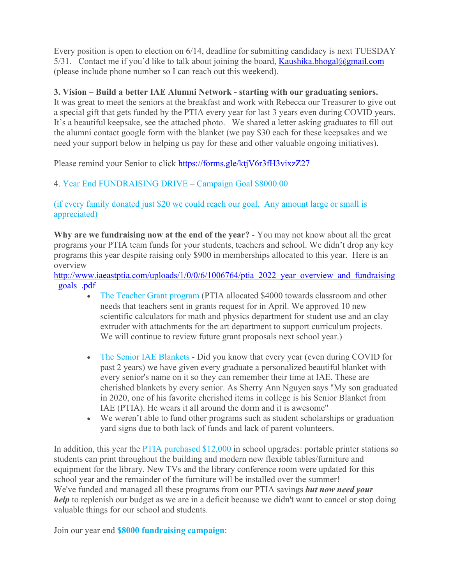Every position is open to election on 6/14, deadline for submitting candidacy is next TUESDAY 5/31. Contact me if you'd like to talk about joining the board, Kaushika.bhogal@gmail.com (please include phone number so I can reach out this weekend).

## **3. Vision – Build a better IAE Alumni Network - starting with our graduating seniors.**

It was great to meet the seniors at the breakfast and work with Rebecca our Treasurer to give out a special gift that gets funded by the PTIA every year for last 3 years even during COVID years. It's a beautiful keepsake, see the attached photo. We shared a letter asking graduates to fill out the alumni contact google form with the blanket (we pay \$30 each for these keepsakes and we need your support below in helping us pay for these and other valuable ongoing initiatives).

Please remind your Senior to click https://forms.gle/ktjV6r3fH3vixzZ27

## 4. Year End FUNDRAISING DRIVE – Campaign Goal \$8000.00

(if every family donated just \$20 we could reach our goal. Any amount large or small is appreciated)

**Why are we fundraising now at the end of the year?** - You may not know about all the great programs your PTIA team funds for your students, teachers and school. We didn't drop any key programs this year despite raising only \$900 in memberships allocated to this year. Here is an overview

http://www.iaeastptia.com/uploads/1/0/0/6/1006764/ptia\_2022\_year\_overview\_and\_fundraising \_goals\_.pdf

- The Teacher Grant program (PTIA allocated \$4000 towards classroom and other needs that teachers sent in grants request for in April. We approved 10 new scientific calculators for math and physics department for student use and an clay extruder with attachments for the art department to support curriculum projects. We will continue to review future grant proposals next school year.)
- The Senior IAE Blankets Did you know that every year (even during COVID for past 2 years) we have given every graduate a personalized beautiful blanket with every senior's name on it so they can remember their time at IAE. These are cherished blankets by every senior. As Sherry Ann Nguyen says "My son graduated in 2020, one of his favorite cherished items in college is his Senior Blanket from IAE (PTIA). He wears it all around the dorm and it is awesome"
- We weren't able to fund other programs such as student scholarships or graduation yard signs due to both lack of funds and lack of parent volunteers.

In addition, this year the PTIA purchased \$12,000 in school upgrades: portable printer stations so students can print throughout the building and modern new flexible tables/furniture and equipment for the library. New TVs and the library conference room were updated for this school year and the remainder of the furniture will be installed over the summer! We've funded and managed all these programs from our PTIA savings *but now need your help* to replenish our budget as we are in a deficit because we didn't want to cancel or stop doing valuable things for our school and students.

Join our year end **\$8000 fundraising campaign**: